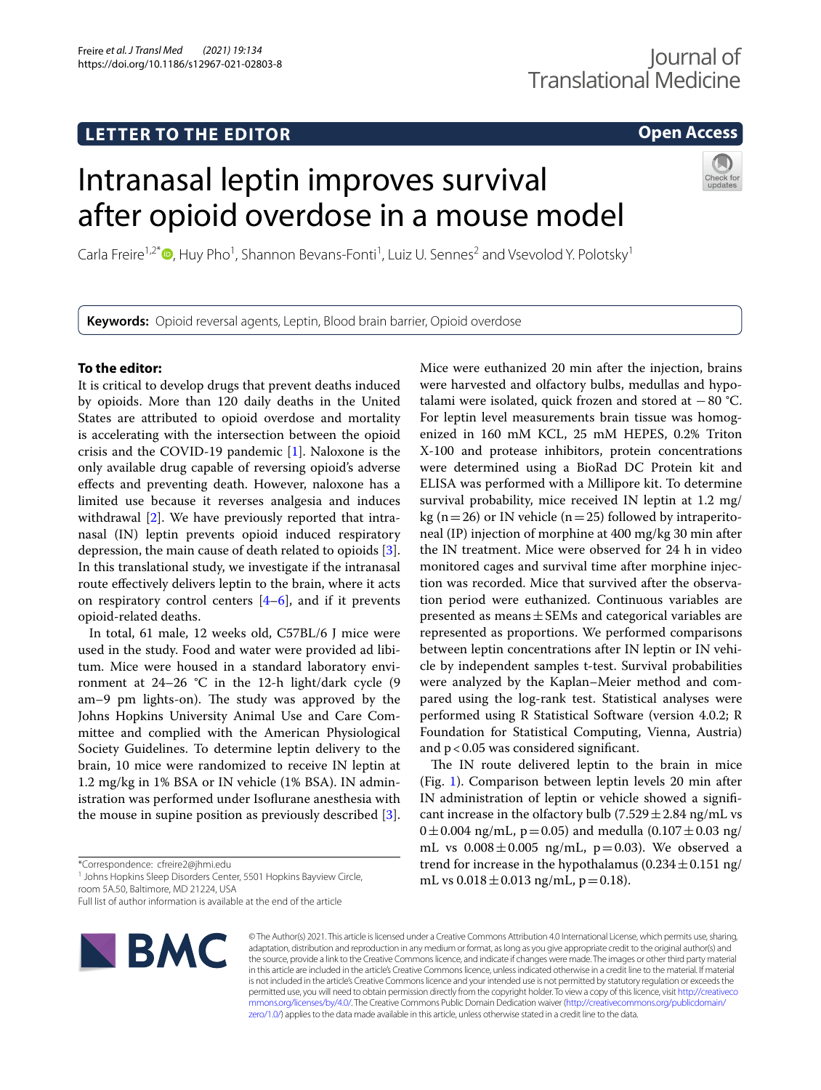# **LETTER TO THE EDITOR**

# **Open Access**

# Intranasal leptin improves survival after opioid overdose in a mouse model



Carla Freire<sup>1,2\*</sup> <sup>D</sup>[,](http://orcid.org/0000-0001-8118-5665) Huy Pho<sup>1</sup>, Shannon Bevans-Fonti<sup>1</sup>, Luiz U. Sennes<sup>2</sup> and Vsevolod Y. Polotsky<sup>1</sup>

**Keywords:** Opioid reversal agents, Leptin, Blood brain barrier, Opioid overdose

# **To the editor:**

It is critical to develop drugs that prevent deaths induced by opioids. More than 120 daily deaths in the United States are attributed to opioid overdose and mortality is accelerating with the intersection between the opioid crisis and the COVID-19 pandemic [[1](#page-2-0)]. Naloxone is the only available drug capable of reversing opioid's adverse efects and preventing death. However, naloxone has a limited use because it reverses analgesia and induces withdrawal [\[2](#page-2-1)]. We have previously reported that intranasal (IN) leptin prevents opioid induced respiratory depression, the main cause of death related to opioids [\[3](#page-2-2)]. In this translational study, we investigate if the intranasal route efectively delivers leptin to the brain, where it acts on respiratory control centers  $[4-6]$  $[4-6]$ , and if it prevents opioid-related deaths.

In total, 61 male, 12 weeks old, C57BL/6 J mice were used in the study. Food and water were provided ad libitum. Mice were housed in a standard laboratory environment at 24–26 °C in the 12-h light/dark cycle (9 am–9 pm lights-on). The study was approved by the Johns Hopkins University Animal Use and Care Committee and complied with the American Physiological Society Guidelines. To determine leptin delivery to the brain, 10 mice were randomized to receive IN leptin at 1.2 mg/kg in 1% BSA or IN vehicle (1% BSA). IN administration was performed under Isofurane anesthesia with the mouse in supine position as previously described [\[3](#page-2-2)].

<sup>1</sup> Johns Hopkins Sleep Disorders Center, 5501 Hopkins Bayview Circle, room 5A.50, Baltimore, MD 21224, USA

Full list of author information is available at the end of the article



were harvested and olfactory bulbs, medullas and hypotalami were isolated, quick frozen and stored at −80 °C. For leptin level measurements brain tissue was homogenized in 160 mM KCL, 25 mM HEPES, 0.2% Triton X-100 and protease inhibitors, protein concentrations were determined using a BioRad DC Protein kit and ELISA was performed with a Millipore kit. To determine survival probability, mice received IN leptin at 1.2 mg/ kg ( $n=26$ ) or IN vehicle ( $n=25$ ) followed by intraperitoneal (IP) injection of morphine at 400 mg/kg 30 min after the IN treatment. Mice were observed for 24 h in video monitored cages and survival time after morphine injection was recorded. Mice that survived after the observation period were euthanized. Continuous variables are presented as means  $\pm$  SEMs and categorical variables are represented as proportions. We performed comparisons between leptin concentrations after IN leptin or IN vehicle by independent samples t-test. Survival probabilities were analyzed by the Kaplan–Meier method and compared using the log-rank test. Statistical analyses were performed using R Statistical Software (version 4.0.2; R Foundation for Statistical Computing, Vienna, Austria) and p<0.05 was considered signifcant.

Mice were euthanized 20 min after the injection, brains

The IN route delivered leptin to the brain in mice (Fig. [1](#page-1-0)). Comparison between leptin levels 20 min after IN administration of leptin or vehicle showed a signifcant increase in the olfactory bulb  $(7.529 \pm 2.84 \text{ ng/mL vs }$  $0 \pm 0.004$  ng/mL, p=0.05) and medulla  $(0.107 \pm 0.03$  ng/ mL vs  $0.008 \pm 0.005$  ng/mL, p=0.03). We observed a trend for increase in the hypothalamus  $(0.234 \pm 0.151 \text{ ng}/$ mL vs  $0.018 \pm 0.013$  ng/mL, p = 0.18).

© The Author(s) 2021. This article is licensed under a Creative Commons Attribution 4.0 International License, which permits use, sharing, adaptation, distribution and reproduction in any medium or format, as long as you give appropriate credit to the original author(s) and the source, provide a link to the Creative Commons licence, and indicate if changes were made. The images or other third party material in this article are included in the article's Creative Commons licence, unless indicated otherwise in a credit line to the material. If material is not included in the article's Creative Commons licence and your intended use is not permitted by statutory regulation or exceeds the permitted use, you will need to obtain permission directly from the copyright holder. To view a copy of this licence, visit [http://creativeco](http://creativecommons.org/licenses/by/4.0/) [mmons.org/licenses/by/4.0/.](http://creativecommons.org/licenses/by/4.0/) The Creative Commons Public Domain Dedication waiver ([http://creativecommons.org/publicdomain/](http://creativecommons.org/publicdomain/zero/1.0/) [zero/1.0/\)](http://creativecommons.org/publicdomain/zero/1.0/) applies to the data made available in this article, unless otherwise stated in a credit line to the data.

<sup>\*</sup>Correspondence: cfreire2@jhmi.edu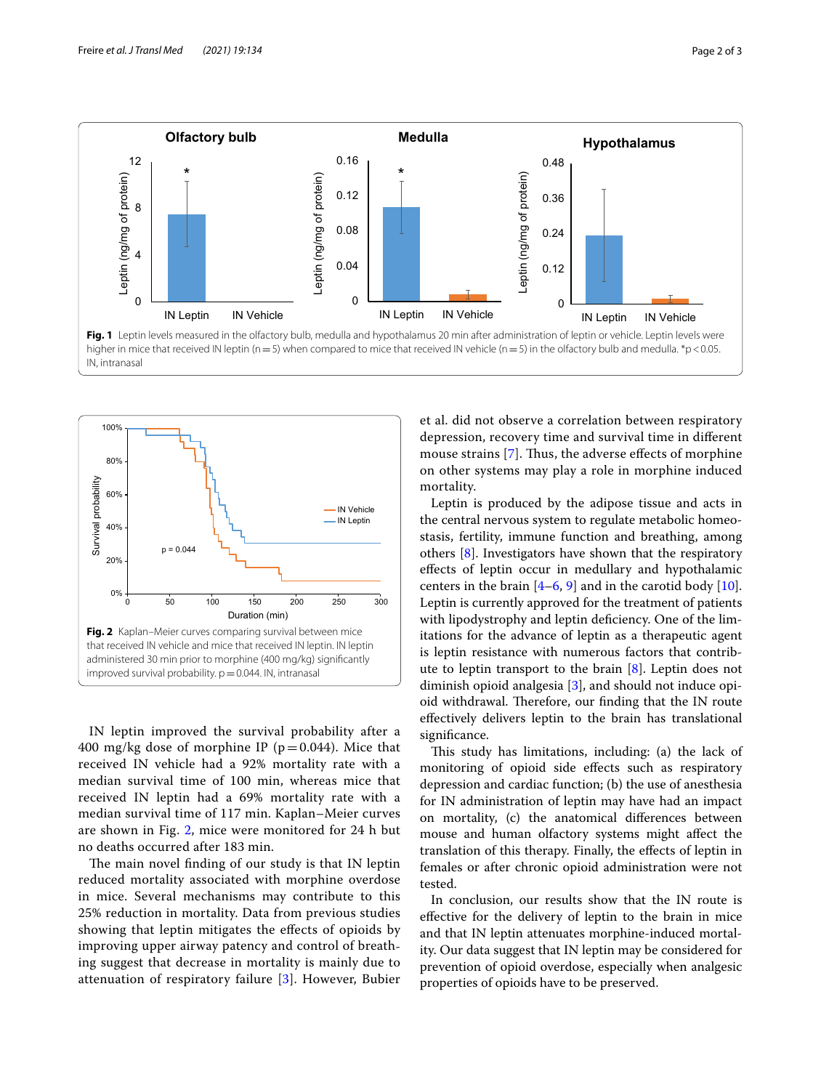

<span id="page-1-0"></span>

<span id="page-1-1"></span>IN leptin improved the survival probability after a 400 mg/kg dose of morphine IP ( $p=0.044$ ). Mice that received IN vehicle had a 92% mortality rate with a median survival time of 100 min, whereas mice that received IN leptin had a 69% mortality rate with a median survival time of 117 min. Kaplan–Meier curves are shown in Fig. [2,](#page-1-1) mice were monitored for 24 h but no deaths occurred after 183 min.

The main novel finding of our study is that IN leptin reduced mortality associated with morphine overdose in mice. Several mechanisms may contribute to this 25% reduction in mortality. Data from previous studies showing that leptin mitigates the efects of opioids by improving upper airway patency and control of breathing suggest that decrease in mortality is mainly due to attenuation of respiratory failure [[3\]](#page-2-2). However, Bubier et al. did not observe a correlation between respiratory depression, recovery time and survival time in diferent mouse strains  $[7]$  $[7]$ . Thus, the adverse effects of morphine on other systems may play a role in morphine induced mortality.

Leptin is produced by the adipose tissue and acts in the central nervous system to regulate metabolic homeostasis, fertility, immune function and breathing, among others [[8\]](#page-2-6). Investigators have shown that the respiratory efects of leptin occur in medullary and hypothalamic centers in the brain  $[4-6, 9]$  $[4-6, 9]$  $[4-6, 9]$  and in the carotid body  $[10]$  $[10]$ . Leptin is currently approved for the treatment of patients with lipodystrophy and leptin deficiency. One of the limitations for the advance of leptin as a therapeutic agent is leptin resistance with numerous factors that contribute to leptin transport to the brain [\[8](#page-2-6)]. Leptin does not diminish opioid analgesia [[3\]](#page-2-2), and should not induce opioid withdrawal. Therefore, our finding that the IN route efectively delivers leptin to the brain has translational signifcance.

This study has limitations, including: (a) the lack of monitoring of opioid side efects such as respiratory depression and cardiac function; (b) the use of anesthesia for IN administration of leptin may have had an impact on mortality, (c) the anatomical diferences between mouse and human olfactory systems might afect the translation of this therapy. Finally, the efects of leptin in females or after chronic opioid administration were not tested.

In conclusion, our results show that the IN route is efective for the delivery of leptin to the brain in mice and that IN leptin attenuates morphine-induced mortality. Our data suggest that IN leptin may be considered for prevention of opioid overdose, especially when analgesic properties of opioids have to be preserved.